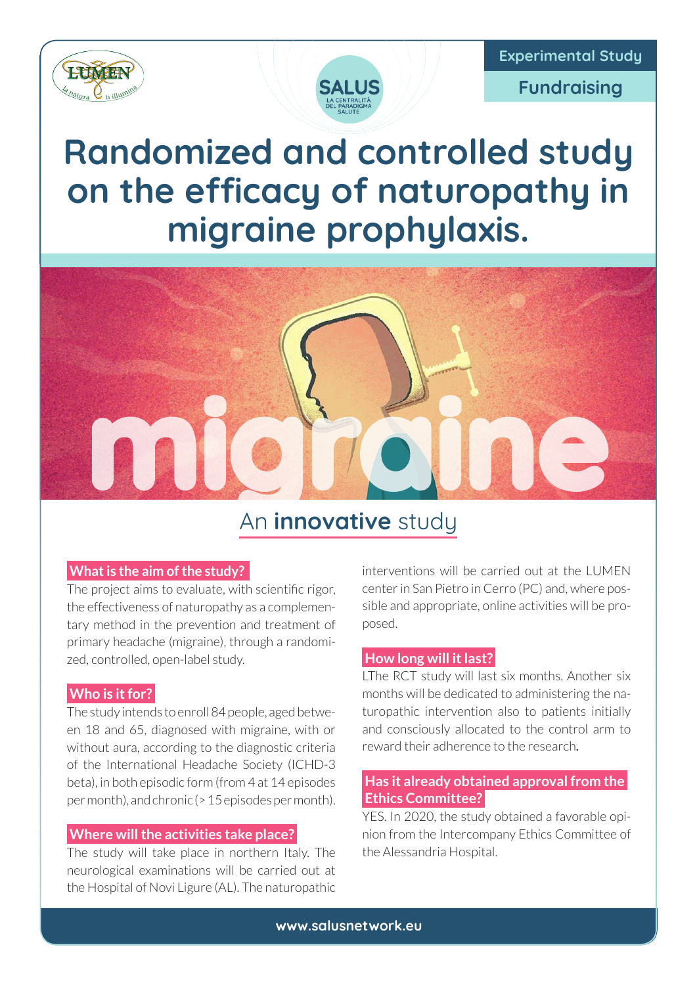



**Fundraising**

# **Randomized and controlled study on the efficacy of naturopathy in migraine prophylaxis.**



### An **innovative** study

#### **What is the aim of the study?**

The project aims to evaluate, with scientific rigor, the effectiveness of naturopathy as a complementary method in the prevention and treatment of primary headache (migraine), through a randomized, controlled, open-label study.

#### **Who is it for?**

The study intends to enroll 84 people, aged between 18 and 65, diagnosed with migraine, with or without aura, according to the diagnostic criteria of the International Headache Society (ICHD-3 beta), in both episodic form (from 4 at 14 episodes per month), and chronic (> 15 episodes per month).

#### **Where will the activities take place?**

The study will take place in northern Italy. The neurological examinations will be carried out at the Hospital of Novi Ligure (AL). The naturopathic

interventions will be carried out at the LUMEN center in San Pietro in Cerro (PC) and, where possible and appropriate, online activities will be proposed.

#### **How long will it last?**

LThe RCT study will last six months. Another six months will be dedicated to administering the naturopathic intervention also to patients initially and consciously allocated to the control arm to reward their adherence to the research.

#### **Has it already obtained approval from the Ethics Committee?**

YES. In 2020, the study obtained a favorable opinion from the Intercompany Ethics Committee of the Alessandria Hospital.

**www.salusnetwork.eu**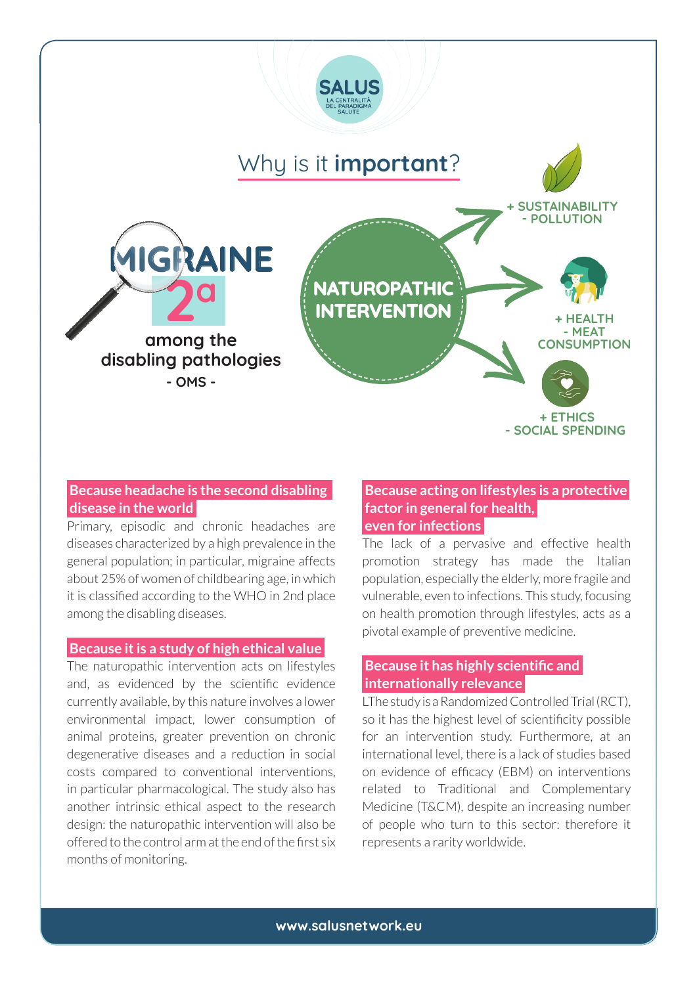

#### **Because headache is the second disabling disease in the world**

Primary, episodic and chronic headaches are diseases characterized by a high prevalence in the general population; in particular, migraine affects about 25% of women of childbearing age, in which it is classified according to the WHO in 2nd place among the disabling diseases.

#### **Because it is a study of high ethical value**

The naturopathic intervention acts on lifestyles and, as evidenced by the scientific evidence currently available, by this nature involves a lower environmental impact, lower consumption of animal proteins, greater prevention on chronic degenerative diseases and a reduction in social costs compared to conventional interventions, in particular pharmacological. The study also has another intrinsic ethical aspect to the research design: the naturopathic intervention will also be offered to the control arm at the end of the first six months of monitoring.

#### **Because acting on lifestyles is a protective factor in general for health, even for infections**

The lack of a pervasive and effective health promotion strategy has made the Italian population, especially the elderly, more fragile and vulnerable, even to infections. This study, focusing on health promotion through lifestyles, acts as a pivotal example of preventive medicine.

#### **Because it has highly scientific and internationally relevance**

LThe study is a Randomized Controlled Trial (RCT), so it has the highest level of scientificity possible for an intervention study. Furthermore, at an international level, there is a lack of studies based on evidence of efficacy (EBM) on interventions related to Traditional and Complementary Medicine (T&CM), despite an increasing number of people who turn to this sector: therefore it represents a rarity worldwide.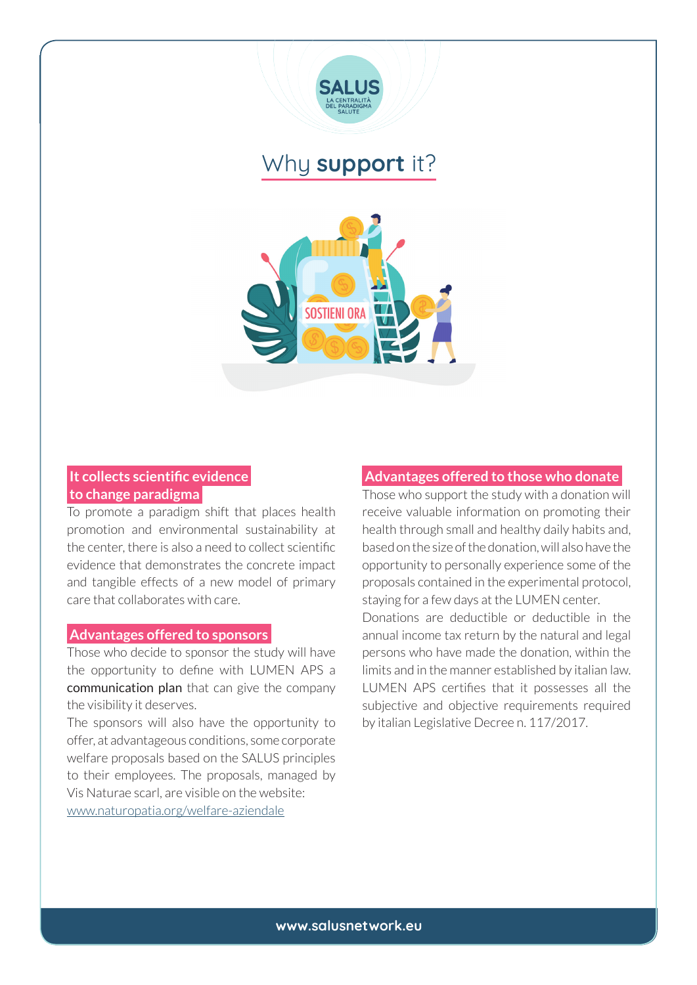

### Why **support** it?



#### **It collects scientific evidence to change paradigma**

To promote a paradigm shift that places health promotion and environmental sustainability at the center, there is also a need to collect scientific evidence that demonstrates the concrete impact and tangible effects of a new model of primary care that collaborates with care.

#### **Advantages offered to sponsors**

Those who decide to sponsor the study will have the opportunity to define with LUMEN APS a communication plan that can give the company the visibility it deserves.

The sponsors will also have the opportunity to offer, at advantageous conditions, some corporate welfare proposals based on the SALUS principles to their employees. The proposals, managed by Vis Naturae scarl, are visible on the website: www.naturopatia.org/welfare-aziendale

#### **Advantages offered to those who donate**

Those who support the study with a donation will receive valuable information on promoting their health through small and healthy daily habits and, based on the size of the donation, will also have the opportunity to personally experience some of the proposals contained in the experimental protocol, staying for a few days at the LUMEN center. Donations are deductible or deductible in the annual income tax return by the natural and legal persons who have made the donation, within the limits and in the manner established by italian law. LUMEN APS certifies that it possesses all the subjective and objective requirements required by italian Legislative Decree n. 117/2017.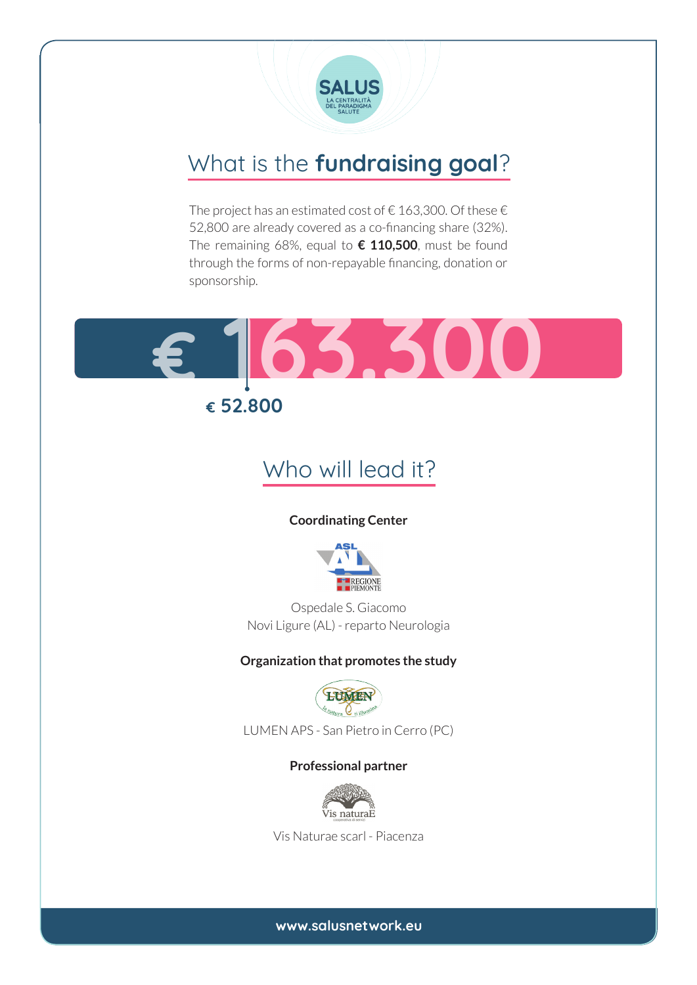

### What is the **fundraising goal**?

The project has an estimated cost of  $\epsilon$  163,300. Of these  $\epsilon$ 52,800 are already covered as a co-financing share (32%). The remaining 68%, equal to **€ 110,500**, must be found through the forms of non-repayable financing, donation or sponsorship.



### **€ 52.800**

### Who will lead it?

#### **Coordinating Center**



Ospedale S. Giacomo Novi Ligure (AL) - reparto Neurologia

#### **Organization that promotes the study**



LUMEN APS - San Pietro in Cerro (PC)

#### **Professional partner**



Vis Naturae scarl - Piacenza

**www.salusnetwork.eu**